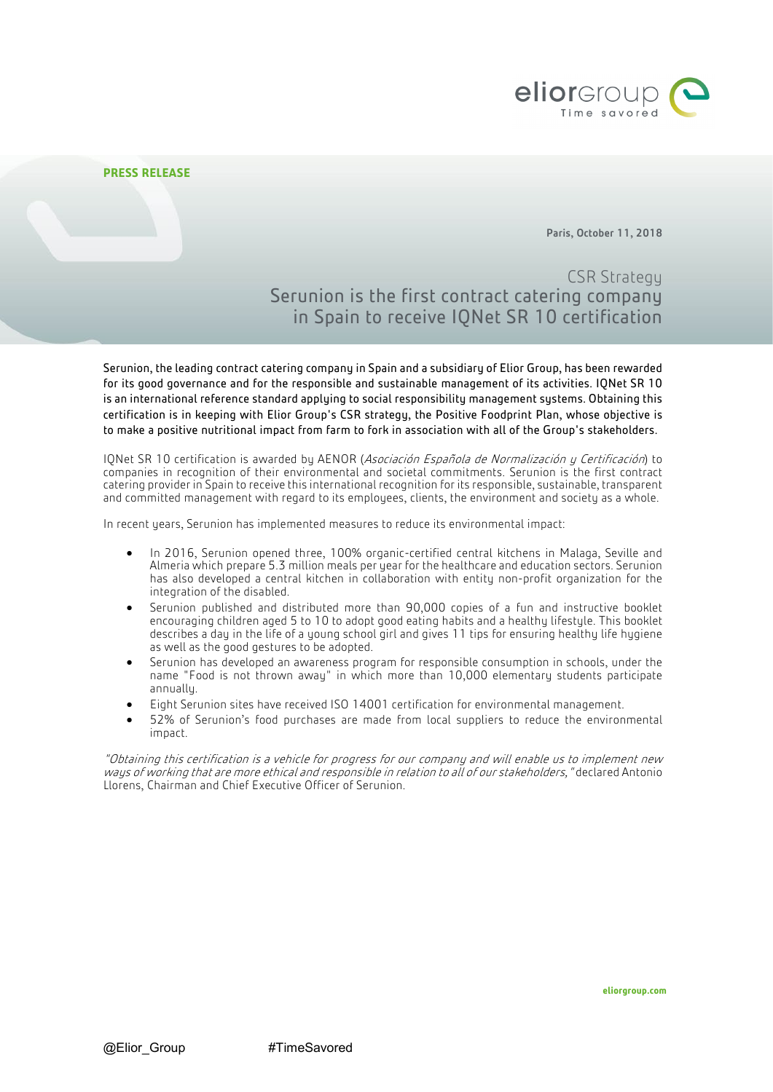

Paris, October 11, 2018

# CSR Strategy Serunion is the first contract catering company in Spain to receive IQNet SR 10 certification

Serunion, the leading contract catering company in Spain and a subsidiary of Elior Group, has been rewarded for its good governance and for the responsible and sustainable management of its activities. IQNet SR 10 is an international reference standard applying to social responsibility management systems. Obtaining this certification is in keeping with Elior Group's CSR strategy, the Positive Foodprint Plan, whose objective is to make a positive nutritional impact from farm to fork in association with all of the Group's stakeholders.

IQNet SR 10 certification is awarded by AENOR (Asociación Española de Normalización y Certificación) to companies in recognition of their environmental and societal commitments. Serunion is the first contract catering provider in Spain to receive this international recognition for its responsible, sustainable, transparent and committed management with regard to its employees, clients, the environment and society as a whole.

In recent years, Serunion has implemented measures to reduce its environmental impact:

- In 2016, Serunion opened three, 100% organic-certified central kitchens in Malaga, Seville and Almeria which prepare 5.3 million meals per year for the healthcare and education sectors. Serunion has also developed a central kitchen in collaboration with entity non-profit organization for the integration of the disabled.
- Serunion published and distributed more than 90,000 copies of a fun and instructive booklet encouraging children aged 5 to 10 to adopt good eating habits and a healthy lifestyle. This booklet describes a day in the life of a young school girl and gives 11 tips for ensuring healthy life hygiene as well as the good gestures to be adopted.
- Serunion has developed an awareness program for responsible consumption in schools, under the name "Food is not thrown away" in which more than 10,000 elementary students participate annually.
- Eight Serunion sites have received ISO 14001 certification for environmental management.
- 52% of Serunion's food purchases are made from local suppliers to reduce the environmental impact.

"Obtaining this certification is a vehicle for progress for our company and will enable us to implement new ways of working that are more ethical and responsible in relation to all of our stakeholders," declared Antonio Llorens, Chairman and Chief Executive Officer of Serunion.